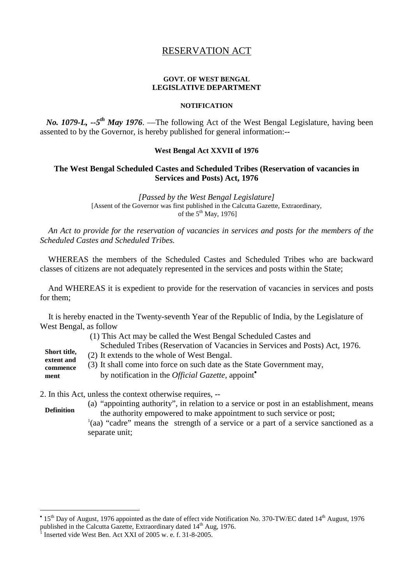# RESERVATION ACT

### **GOVT. OF WEST BENGAL LEGISLATIVE DEPARTMENT**

#### **NOTIFICATION**

*No. 1079-L, --5 th May 1976*. —The following Act of the West Bengal Legislature, having been assented to by the Governor, is hereby published for general information:--

#### **West Bengal Act XXVII of 1976**

## **The West Bengal Scheduled Castes and Scheduled Tribes (Reservation of vacancies in Services and Posts) Act, 1976**

*[Passed by the West Bengal Legislature]* [Assent of the Governor was first published in the Calcutta Gazette, Extraordinary, of the  $5<sup>th</sup>$  May, 1976]

*An Act to provide for the reservation of vacancies in services and posts for the members of the Scheduled Castes and Scheduled Tribes.*

WHEREAS the members of the Scheduled Castes and Scheduled Tribes who are backward classes of citizens are not adequately represented in the services and posts within the State;

And WHEREAS it is expedient to provide for the reservation of vacancies in services and posts for them;

It is hereby enacted in the Twenty-seventh Year of the Republic of India, by the Legislature of West Bengal, as follow

(1) This Act may be called the West Bengal Scheduled Castes and Scheduled Tribes (Reservation of Vacancies in Services and Posts) Act, 1976. (2) It extends to the whole of West Bengal. (3) It shall come into force on such date as the State Government may, by notification in the *Official Gazette*, appoint **Short title, extent and commence ment**

2. In this Act, unless the context otherwise requires, --

- (a) "appointing authority", in relation to a service or post in an establishment, means the authority empowered to make appointment to such service or post; **Definition**
	- 1 (aa) "cadre" means the strength of a service or a part of a service sanctioned as a separate unit;

<sup>&</sup>lt;sup>•</sup> 15<sup>th</sup> Day of August, 1976 appointed as the date of effect vide Notification No. 370-TW/EC dated 14<sup>th</sup> August, 1976 published in the Calcutta Gazette, Extraordinary dated 14<sup>th</sup> Aug, 1976.

<sup>&</sup>lt;sup>1</sup> Inserted vide West Ben. Act XXI of 2005 w. e. f. 31-8-2005.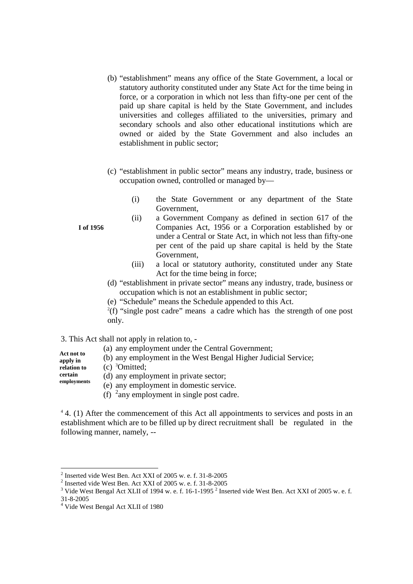- (b) "establishment" means any office of the State Government, a local or statutory authority constituted under any State Act for the time being in force, or a corporation in which not less than fifty-one per cent of the paid up share capital is held by the State Government, and includes universities and colleges affiliated to the universities, primary and secondary schools and also other educational institutions which are owned or aided by the State Government and also includes an establishment in public sector;
- (c) "establishment in public sector" means any industry, trade, business or occupation owned, controlled or managed by—
	- (i) the State Government or any department of the State Government,
	- (ii) a Government Company as defined in section 617 of the Companies Act, 1956 or a Corporation established by or under a Central or State Act, in which not less than fifty-one per cent of the paid up share capital is held by the State Government,
	- (iii) a local or statutory authority, constituted under any State Act for the time being in force;
- (d) "establishment in private sector" means any industry, trade, business or occupation which is not an establishment in public sector;
- (e) "Schedule" means the Schedule appended to this Act.

 $2(f)$  "single post cadre" means a cadre which has the strength of one post only.

3. This Act shall not apply in relation to, -

- (a) any employment under the Central Government;
- (b) any employment in the West Bengal Higher Judicial Service; **Act not to apply in**
- (c) <sup>3</sup>Omitted; **relation to**

**certain**

(d) any employment in private sector; **employments**

(e) any employment in domestic service.

(f)  $\frac{2}{\text{any}}$  employment in single post cadre.

<sup>4</sup> 4. (1) After the commencement of this Act all appointments to services and posts in an establishment which are to be filled up by direct recruitment shall be regulated in the following manner, namely, --

**I of 1956**

 $2$  Inserted vide West Ben. Act XXI of 2005 w. e. f. 31-8-2005

<sup>2</sup> Inserted vide West Ben. Act XXI of 2005 w. e. f. 31-8-2005

 $3$  Vide West Bengal Act XLII of 1994 w. e. f. 16-1-1995  $2$  Inserted vide West Ben. Act XXI of 2005 w. e. f. 31-8-2005

<sup>4</sup> Vide West Bengal Act XLII of 1980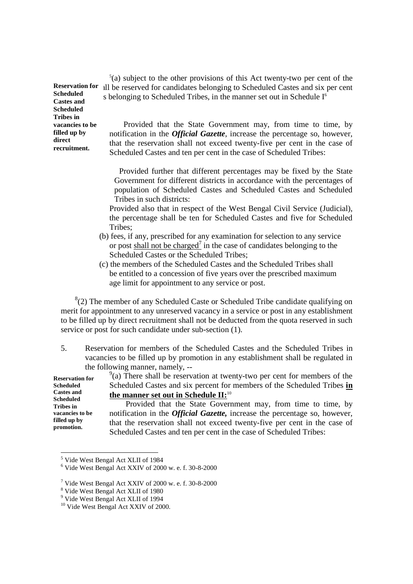5 (a) subject to the other provisions of this Act twenty-two per cent of the all be reserved for candidates belonging to Scheduled Castes and six per cent s belonging to Scheduled Tribes, in the manner set out in Schedule  $I<sup>6</sup>$ 

Provided that the State Government may, from time to time, by notification in the *Official Gazette*, increase the percentage so, however, that the reservation shall not exceed twenty-five per cent in the case of Scheduled Castes and ten per cent in the case of Scheduled Tribes:

Provided further that different percentages may be fixed by the State Government for different districts in accordance with the percentages of population of Scheduled Castes and Scheduled Castes and Scheduled Tribes in such districts:

Provided also that in respect of the West Bengal Civil Service (Judicial), the percentage shall be ten for Scheduled Castes and five for Scheduled Tribes;

- (b) fees, if any, prescribed for any examination for selection to any service or post shall not be charged<sup>7</sup> in the case of candidates belonging to the Scheduled Castes or the Scheduled Tribes;
- (c) the members of the Scheduled Castes and the Scheduled Tribes shall be entitled to a concession of five years over the prescribed maximum age limit for appointment to any service or post.

 $8(2)$  The member of any Scheduled Caste or Scheduled Tribe candidate qualifying on merit for appointment to any unreserved vacancy in a service or post in any establishment to be filled up by direct recruitment shall not be deducted from the quota reserved in such service or post for such candidate under sub-section (1).

5. Reservation for members of the Scheduled Castes and the Scheduled Tribes in vacancies to be filled up by promotion in any establishment shall be regulated in the following manner, namely,  $-\frac{9}{2}$ 

| <b>Reservation for</b>         | $\degree$ (a) There shall be reservation at twenty-two per cent for members of the |
|--------------------------------|------------------------------------------------------------------------------------|
| Scheduled                      | Scheduled Castes and six percent for members of the Scheduled Tribes in            |
| <b>Castes and</b><br>Scheduled | the manner set out in Schedule II: <sup>10</sup>                                   |
| <b>Tribes</b> in               | Provided that the State Government may, from time to time, by                      |
| vacancies to be                | notification in the <i>Official Gazette</i> , increase the percentage so, however, |
| filled up by<br>promotion.     | that the reservation shall not exceed twenty-five per cent in the case of          |
|                                | Scheduled Castes and ten per cent in the case of Scheduled Tribes:                 |

<sup>5</sup> Vide West Bengal Act XLII of 1984

**Reservation for Scheduled Castes and Scheduled Tribes in vacancies to be filled up by direct recruitment.**

 $6$  Vide West Bengal Act XXIV of 2000 w. e. f. 30-8-2000

<sup>7</sup> Vide West Bengal Act XXIV of 2000 w. e. f. 30-8-2000

<sup>8</sup> Vide West Bengal Act XLII of 1980

<sup>9</sup> Vide West Bengal Act XLII of 1994

<sup>&</sup>lt;sup>10</sup> Vide West Bengal Act XXIV of 2000.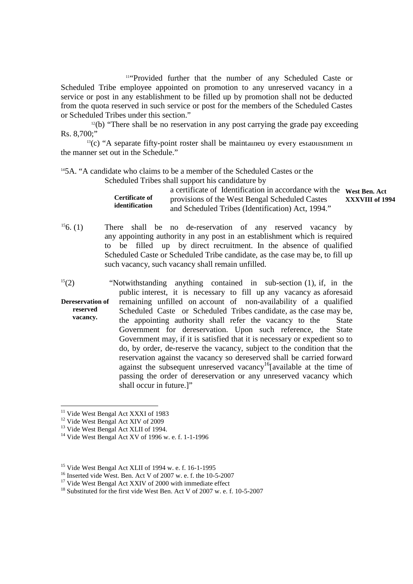<sup>11"</sup>Provided further that the number of any Scheduled Caste or Scheduled Tribe employee appointed on promotion to any unreserved vacancy in a service or post in any establishment to be filled up by promotion shall not be deducted from the quota reserved in such service or post for the members of the Scheduled Castes or Scheduled Tribes under this section."

 $12(b)$  "There shall be no reservation in any post carrying the grade pay exceeding Rs. 8,700;"

 $13(c)$  "A separate fifty-point roster shall be maintained by every establishment in the manner set out in the Schedule."

<sup>14</sup>5A. "A candidate who claims to be a member of the Scheduled Castes or the

Scheduled Tribes shall support his candidature by

|                | a certificate of Identification in accordance with the West Ben. Act |                 |
|----------------|----------------------------------------------------------------------|-----------------|
| Certificate of | provisions of the West Bengal Scheduled Castes                       | XXXVIII of 1994 |
| identification | and Scheduled Tribes (Identification) Act, 1994."                    |                 |

- $156. (1)$  There shall be no de-reservation of any reserved vacancy by any appointing authority in any post in an establishment which is required to be filled up by direct recruitment. In the absence of qualified Scheduled Caste or Scheduled Tribe candidate, as the case may be, to fill up such vacancy, such vacancy shall remain unfilled.
- $15(2)$  "Notwithstanding anything contained in sub-section (1), if, in the public interest, it is necessary to fill up any vacancy as aforesaid remaining unfilled on account of non-availability of a qualified Scheduled Caste or Scheduled Tribes candidate, as the case may be, the appointing authority shall refer the vacancy to the State Government for dereservation. Upon such reference, the State Government may, if it is satisfied that it is necessary or expedient so to do, by order, de-reserve the vacancy, subject to the condition that the reservation against the vacancy so dereserved shall be carried forward against the subsequent unreserved vacancy<sup>16</sup>[available at the time of passing the order of dereservation or any unreserved vacancy which shall occur in future.]" **Dereservation of reserved vacancy.**

- <sup>12</sup> Vide West Bengal Act XIV of 2009
- <sup>13</sup> Vide West Bengal Act XLII of 1994.

<sup>&</sup>lt;sup>11</sup> Vide West Bengal Act XXXI of 1983

<sup>14</sup> Vide West Bengal Act XV of 1996 w. e. f. 1-1-1996

<sup>15</sup> Vide West Bengal Act XLII of 1994 w. e. f. 16-1-1995

<sup>&</sup>lt;sup>16</sup> Inserted vide West. Ben. Act V of 2007 w. e. f. the  $10-5-2007$ 

<sup>&</sup>lt;sup>17</sup> Vide West Bengal Act XXIV of 2000 with immediate effect

<sup>&</sup>lt;sup>18</sup> Substituted for the first vide West Ben. Act V of 2007 w. e. f. 10-5-2007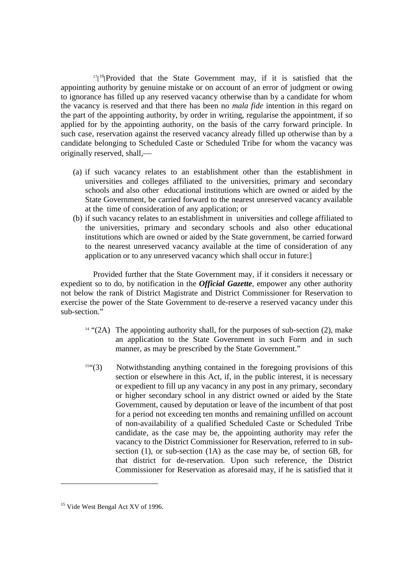$17<sup>18</sup>[Provided that the State Government may, if it is satisfied that the$ appointing authority by genuine mistake or on account of an error of judgment or owing to ignorance has filled up any reserved vacancy otherwise than by a candidate for whom the vacancy is reserved and that there has been no *mala fide* intention in this regard on the part of the appointing authority, by order in writing, regularise the appointment, if so applied for by the appointing authority, on the basis of the carry forward principle. In such case, reservation against the reserved vacancy already filled up otherwise than by a candidate belonging to Scheduled Caste or Scheduled Tribe for whom the vacancy was originally reserved, shall,

- (a) if such vacancy relates to an establishment other than the establishment in universities and colleges affiliated to the universities, primary and secondary schools and also other educational institutions which are owned or aided by the State Government, be carried forward to the nearest unreserved vacancy available at the time of consideration of any application; or
- (b) if such vacancy relates to an establishment in universities and college affiliated to the universities, primary and secondary schools and also other educational institutions which are owned or aided by the State government, be carried forward to the nearest unreserved vacancy available at the time of consideration of any application or to any unreserved vacancy which shall occur in future:]

Provided further that the State Government may, if it considers it necessary or expedient so to do, by notification in the *Official Gazette,* empower any other authority not below the rank of District Magistrate and District Commissioner for Reservation to exercise the power of the State Government to de-reserve a reserved vacancy under this sub-section."

- $14$  "(2A) The appointing authority shall, for the purposes of sub-section (2), make an application to the State Government in such Form and in such manner, as may be prescribed by the State Government."
- $15$ <sup>454</sup> $(3)$  Notwithstanding anything contained in the foregoing provisions of this section or elsewhere in this Act, if, in the public interest, it is necessary or expedient to fill up any vacancy in any post in any primary, secondary or higher secondary school in any district owned or aided by the State Government, caused by deputation or leave of the incumbent of that post for a period not exceeding ten months and remaining unfilled on account of non-availability of a qualified Scheduled Caste or Scheduled Tribe candidate, as the case may be, the appointing authority may refer the vacancy to the District Commissioner for Reservation, referred to in subsection (1), or sub-section (1A) as the case may be, of section 6B, for that district for de-reservation. Upon such reference, the District Commissioner for Reservation as aforesaid may, if he is satisfied that it

<sup>&</sup>lt;sup>15</sup> Vide West Bengal Act XV of 1996.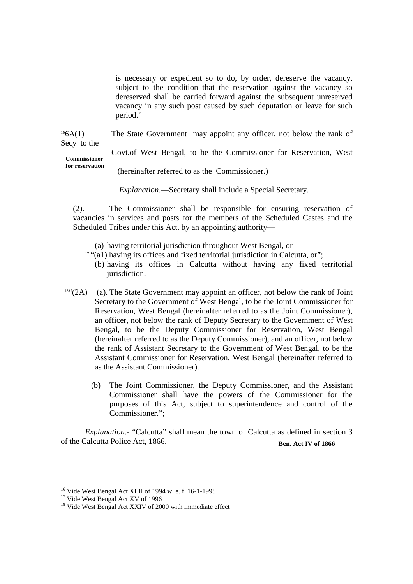is necessary or expedient so to do, by order, dereserve the vacancy, subject to the condition that the reservation against the vacancy so dereserved shall be carried forward against the subsequent unreserved vacancy in any such post caused by such deputation or leave for such period."

 $166A(1)$  The State Government may appoint any officer, not below the rank of Secy to the

Govt.of West Bengal, to be the Commissioner for Reservation, West **Commissioner**<br>for reservation **Commissioner**

(hereinafter referred to as the Commissioner.)

*Explanation*.—Secretary shall include a Special Secretary.

(2). The Commissioner shall be responsible for ensuring reservation of vacancies in services and posts for the members of the Scheduled Castes and the Scheduled Tribes under this Act. by an appointing authority—

(a) having territorial jurisdiction throughout West Bengal, or

- $17$  "(a1) having its offices and fixed territorial jurisdiction in Calcutta, or";
	- (b) having its offices in Calcutta without having any fixed territorial jurisdiction.
- $18^{44}$  (2A) (a). The State Government may appoint an officer, not below the rank of Joint Secretary to the Government of West Bengal, to be the Joint Commissioner for Reservation, West Bengal (hereinafter referred to as the Joint Commissioner), an officer, not below the rank of Deputy Secretary to the Government of West Bengal, to be the Deputy Commissioner for Reservation, West Bengal (hereinafter referred to as the Deputy Commissioner), and an officer, not below the rank of Assistant Secretary to the Government of West Bengal, to be the Assistant Commissioner for Reservation, West Bengal (hereinafter referred to as the Assistant Commissioner).
	- (b) The Joint Commissioner, the Deputy Commissioner, and the Assistant Commissioner shall have the powers of the Commissioner for the purposes of this Act, subject to superintendence and control of the Commissioner.";

*Explanation*.- "Calcutta" shall mean the town of Calcutta as defined in section 3 of the Calcutta Police Act, 1866. **Ben. Act IV of 1866**

<sup>16</sup> Vide West Bengal Act XLII of 1994 w. e. f. 16-1-1995

<sup>&</sup>lt;sup>17</sup> Vide West Bengal Act XV of 1996

<sup>&</sup>lt;sup>18</sup> Vide West Bengal Act XXIV of 2000 with immediate effect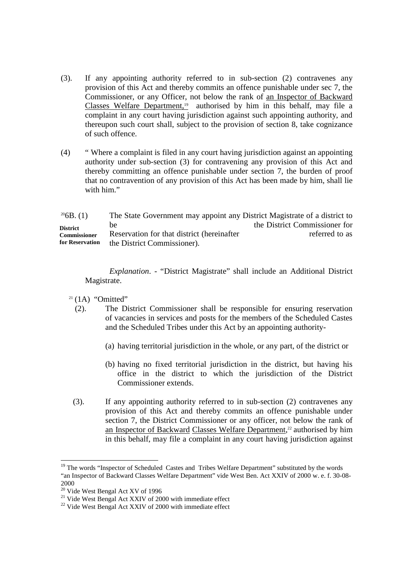- (3). If any appointing authority referred to in sub-section (2) contravenes any provision of this Act and thereby commits an offence punishable under sec 7, the Commissioner, or any Officer, not below the rank of an Inspector of Backward Classes Welfare Department,<sup>19</sup> authorised by him in this behalf, may file a complaint in any court having jurisdiction against such appointing authority, and thereupon such court shall, subject to the provision of section 8, take cognizance of such offence.
- (4) " Where a complaint is filed in any court having jurisdiction against an appointing authority under sub-section (3) for contravening any provision of this Act and thereby committing an offence punishable under section 7, the burden of proof that no contravention of any provision of this Act has been made by him, shall lie with him."

| $^{20}$ 6B. (1)     | The State Government may appoint any District Magistrate of a district to |                               |
|---------------------|---------------------------------------------------------------------------|-------------------------------|
| <b>District</b>     | <sub>be</sub>                                                             | the District Commissioner for |
| <b>Commissioner</b> | Reservation for that district (hereinafter                                | referred to as                |
| for Reservation     | the District Commissioner).                                               |                               |

*Explanation*. - "District Magistrate" shall include an Additional District Magistrate.

- $21$  (1A) "Omitted"
	- (2). The District Commissioner shall be responsible for ensuring reservation of vacancies in services and posts for the members of the Scheduled Castes and the Scheduled Tribes under this Act by an appointing authority-
		- (a) having territorial jurisdiction in the whole, or any part, of the district or
		- (b) having no fixed territorial jurisdiction in the district, but having his office in the district to which the jurisdiction of the District Commissioner extends.
- (3). If any appointing authority referred to in sub-section (2) contravenes any provision of this Act and thereby commits an offence punishable under section 7, the District Commissioner or any officer, not below the rank of an Inspector of Backward Classes Welfare Department, <sup>22</sup> authorised by him in this behalf, may file a complaint in any court having jurisdiction against

<sup>&</sup>lt;sup>19</sup> The words "Inspector of Scheduled Castes and Tribes Welfare Department" substituted by the words "an Inspector of Backward Classes Welfare Department" vide West Ben. Act XXIV of 2000 w. e. f. 30-08- 2000

 $^{20}$  Vide West Bengal Act XV of 1996

<sup>&</sup>lt;sup>21</sup> Vide West Bengal Act XXIV of 2000 with immediate effect

 $22$  Vide West Bengal Act XXIV of 2000 with immediate effect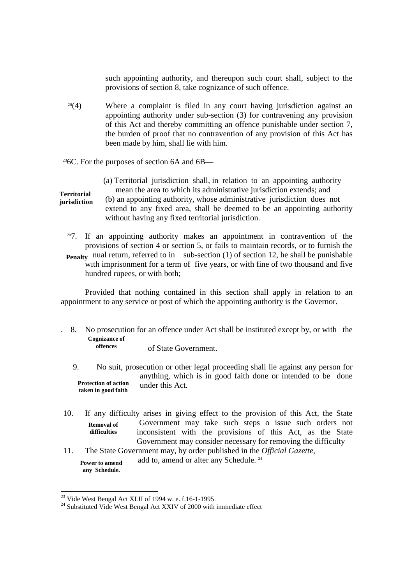such appointing authority, and thereupon such court shall, subject to the provisions of section 8, take cognizance of such offence.

 $20(4)$  Where a complaint is filed in any court having jurisdiction against an appointing authority under sub-section (3) for contravening any provision of this Act and thereby committing an offence punishable under section 7, the burden of proof that no contravention of any provision of this Act has been made by him, shall lie with him.

<sup>23</sup>6C. For the purposes of section 6A and  $6B$ —

| Territorial<br>jurisdiction | (a) Territorial jurisdiction shall, in relation to an appointing authority<br>mean the area to which its administrative jurisdiction extends; and<br>(b) an appointing authority, whose administrative jurisdiction does not<br>extend to any fixed area, shall be deemed to be an appointing authority<br>without having any fixed territorial jurisdiction. |
|-----------------------------|---------------------------------------------------------------------------------------------------------------------------------------------------------------------------------------------------------------------------------------------------------------------------------------------------------------------------------------------------------------|
| 20T                         | If an appointing outhout molecule an appointment in contraversition of the                                                                                                                                                                                                                                                                                    |

7. If an appointing authority makes an appointment in contravention of the provisions of section 4 or section 5, or fails to maintain records, or to furnish the **Penalty** nual return, referred to in sub-section (1) of section 12, he shall be punishable with imprisonment for a term of five years, or with fine of two thousand and five hundred rupees, or with both;

Provided that nothing contained in this section shall apply in relation to an appointment to any service or post of which the appointing authority is the Governor.

. 8. No prosecution for an offence under Act shall be instituted except by, or with the Cognizance of **offences**

of State Government.

- 9. No suit, prosecution or other legal proceeding shall lie against any person for anything, which is in good faith done or intended to be done under this Act. **Protection of action taken in good faith**
- 10. If any difficulty arises in giving effect to the provision of this Act, the State Government may take such steps o issue such orders not inconsistent with the provisions of this Act, as the State Government may consider necessary for removing the difficulty **Removal of difficulties**
- **Power to amend any Schedule.** 11. The State Government may, by order published in the *Official Gazette*, add to, amend or alter any Schedule.<sup>24</sup>

<sup>23</sup> Vide West Bengal Act XLII of 1994 w. e. f.16-1-1995

<sup>&</sup>lt;sup>24</sup> Substituted Vide West Bengal Act XXIV of 2000 with immediate effect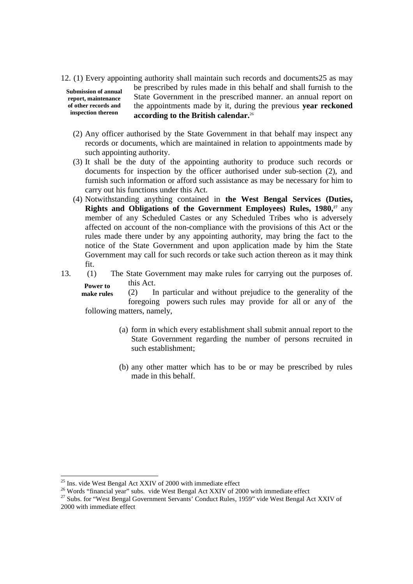12. (1) Every appointing authority shall maintain such records and documents25 as may

**Submission of annual report, maintenance of other records and inspection thereon**

be prescribed by rules made in this behalf and shall furnish to the State Government in the prescribed manner. an annual report on the appointments made by it, during the previous **year reckoned according to the British calendar.**<sup>26</sup>

- (2) Any officer authorised by the State Government in that behalf may inspect any records or documents, which are maintained in relation to appointments made by such appointing authority.
- (3) It shall be the duty of the appointing authority to produce such records or documents for inspection by the officer authorised under sub-section (2), and furnish such information or afford such assistance as may be necessary for him to carry out his functions under this Act.
- (4) Notwithstanding anything contained in **the West Bengal Services (Duties, Rights and Obligations of the Government Employees) Rules, 1980,<sup>27</sup>** any member of any Scheduled Castes or any Scheduled Tribes who is adversely affected on account of the non-compliance with the provisions of this Act or the rules made there under by any appointing authority, may bring the fact to the notice of the State Government and upon application made by him the State Government may call for such records or take such action thereon as it may think fit.
- **Power to** 13. (1) The State Government may make rules for carrying out the purposes of. this Act.

**make rules** (2) In particular and without prejudice to the generality of the foregoing powers such rules may provide for all or any of the following matters, namely,

- (a) form in which every establishment shall submit annual report to the State Government regarding the number of persons recruited in such establishment;
- (b) any other matter which has to be or may be prescribed by rules made in this behalf.

<sup>&</sup>lt;sup>25</sup> Ins. vide West Bengal Act XXIV of 2000 with immediate effect

<sup>&</sup>lt;sup>26</sup> Words "financial year" subs. vide West Bengal Act XXIV of 2000 with immediate effect

<sup>&</sup>lt;sup>27</sup> Subs. for "West Bengal Government Servants' Conduct Rules, 1959" vide West Bengal Act XXIV of 2000 with immediate effect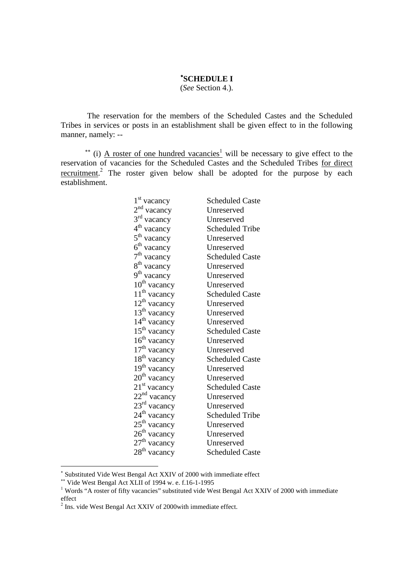## **SCHEDULE I**

(*See* Section 4.).

The reservation for the members of the Scheduled Castes and the Scheduled Tribes in services or posts in an establishment shall be given effect to in the following manner, namely: --

<sup>\*\*</sup> (i) <u>A roster of one hundred vacancies<sup>1</sup></u> will be necessary to give effect to the reservation of vacancies for the Scheduled Castes and the Scheduled Tribes for direct recruitment.<sup>2</sup> The roster given below shall be adopted for the purpose by each establishment.

| $1st$ vacancy            | <b>Scheduled Caste</b> |
|--------------------------|------------------------|
| $2nd$ vacancy            | Unreserved             |
| $3rd$ vacancy            | Unreserved             |
| 4 <sup>th</sup> vacancy  | Scheduled Tribe        |
| $5^{\text{th}}$ vacancy  | Unreserved             |
| 6 <sup>th</sup> vacancy  | Unreserved             |
| $7th$ vacancy            | <b>Scheduled Caste</b> |
| 8 <sup>th</sup> vacancy  | Unreserved             |
| 9 <sup>th</sup> vacancy  | Unreserved             |
| 10 <sup>th</sup> vacancy | Unreserved             |
| 11 <sup>th</sup> vacancy | <b>Scheduled Caste</b> |
| $12^{th}$ vacancy        | Unreserved             |
| $13th$ vacancy           | Unreserved             |
| 14 <sup>th</sup> vacancy | Unreserved             |
| $15th$ vacancy           | <b>Scheduled Caste</b> |
| 16 <sup>th</sup> vacancy | Unreserved             |
| 17 <sup>th</sup> vacancy | Unreserved             |
| $18th$ vacancy           | <b>Scheduled Caste</b> |
| 19 <sup>th</sup> vacancy | Unreserved             |
| 20 <sup>th</sup> vacancy | Unreserved             |
| $21st$ vacancy           | <b>Scheduled Caste</b> |
| $22nd$ vacancy           | Unreserved             |
| 23 <sup>rd</sup> vacancy | Unreserved             |
| $24^{\text{th}}$ vacancy | <b>Scheduled Tribe</b> |
| $25th$ vacancy           | Unreserved             |
| $26^{\text{th}}$ vacancy | Unreserved             |
| $27th$ vacancy           | Unreserved             |
| $28th$ vacancy           | <b>Scheduled Caste</b> |
|                          |                        |

Substituted Vide West Bengal Act XXIV of 2000 with immediate effect

Vide West Bengal Act XLII of 1994 w. e. f.16-1-1995

<sup>&</sup>lt;sup>1</sup> Words "A roster of fifty vacancies" substituted vide West Bengal Act XXIV of 2000 with immediate effect

 $2$  Ins. vide West Bengal Act XXIV of 2000 with immediate effect.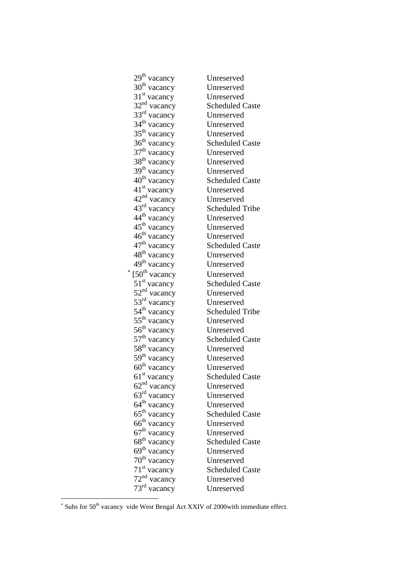| 29 <sup>th</sup> vacancy  | Unreserved             |
|---------------------------|------------------------|
| $30th$ vacancy            | Unreserved             |
| $31st$ vacancy            | Unreserved             |
| $32nd$ vacancy            | <b>Scheduled Caste</b> |
| $33rd$ vacancy            | Unreserved             |
| $34th$ vacancy            | Unreserved             |
| $35th$ vacancy            | Unreserved             |
| 36 <sup>th</sup> vacancy  | <b>Scheduled Caste</b> |
| $37th$ vacancy            | Unreserved             |
| $38th$ vacancy            | Unreserved             |
| $39th$ vacancy            | Unreserved             |
| 40 <sup>th</sup> vacancy  | <b>Scheduled Caste</b> |
| 41 <sup>st</sup> vacancy  | Unreserved             |
| 42 <sup>nd</sup> vacancy  | Unreserved             |
| $43^{\text{rd}}$ vacancy  | <b>Scheduled Tribe</b> |
| 44 <sup>th</sup> vacancy  | Unreserved             |
| $45th$ vacancy            | Unreserved             |
| $46^{\text{th}}$ vacancy  | Unreserved             |
| 47 <sup>th</sup> vacancy  | <b>Scheduled Caste</b> |
| 48 <sup>th</sup> vacancy  | Unreserved             |
| 49 <sup>th</sup> vacancy  | Unreserved             |
| $150^{\text{th}}$ vacancy | Unreserved             |
| $51st$ vacancy            | <b>Scheduled Caste</b> |
| $52nd$ vacancy            | Unreserved             |
| $53rd$ vacancy            | Unreserved             |
| $54th$ vacancy            | <b>Scheduled Tribe</b> |
| $55^{\text{th}}$ vacancy  | Unreserved             |
| $56th$ vacancy            | Unreserved             |
| $57th$ vacancy            | <b>Scheduled Caste</b> |
| $58^{\text{th}}$ vacancy  | Unreserved             |
| $59th$ vacancy            | Unreserved             |
| 60 <sup>th</sup> vacancy  | Unreserved             |
| $61st$ vacancy            | <b>Scheduled Caste</b> |
| $62nd$ vacancy            | Unreserved             |
| $63rd$ vacancy            | Unreserved             |
| 64 <sup>th</sup> vacancy  | Unreserved             |
| $65th$ vacancy            | <b>Scheduled Caste</b> |
| $66th$ vacancy            | Unreserved             |
| 67 <sup>th</sup> vacancy  | Unreserved             |
| 68 <sup>th</sup> vacancy  | <b>Scheduled Caste</b> |
| 69 <sup>th</sup> vacancy  | Unreserved             |
| 70 <sup>th</sup> vacancy  | Unreserved             |
| $71st$ vacancy            | <b>Scheduled Caste</b> |
| $72nd$ vacancy            | Unreserved             |
| 73 <sup>rd</sup> vacancy  | Unreserved             |
|                           |                        |

 $\ast$ 

 $*$  Subs for 50<sup>th</sup> vacancy vide West Bengal Act XXIV of 2000 with immediate effect.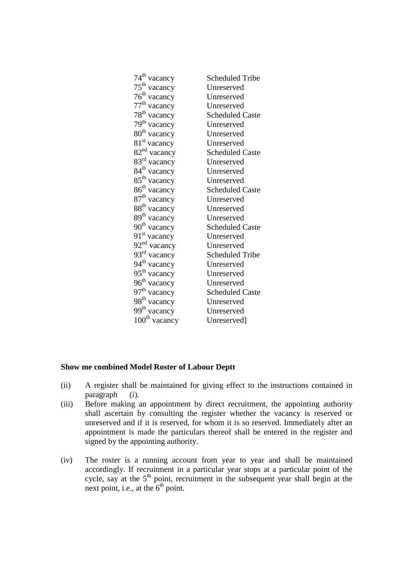| $74^{\text{th}}$ vacancy  | <b>Scheduled Tribe</b> |
|---------------------------|------------------------|
| $75^{\text{th}}$ vacancy  | Unreserved             |
| $76th$ vacancy            | Unreserved             |
| $77^{\text{th}}$ vacancy  | Unreserved             |
| 78 <sup>th</sup> vacancy  | <b>Scheduled Caste</b> |
| $79th$ vacancy            | Unreserved             |
| 80 <sup>th</sup> vacancy  | Unreserved             |
| 81 <sup>st</sup> vacancy  | Unreserved             |
| 82 <sup>nd</sup> vacancy  | <b>Scheduled Caste</b> |
| $83rd$ vacancy            | Unreserved             |
| $84^{\text{th}}$ vacancy  | Unreserved             |
| $85^{\text{th}}$ vacancy  | Unreserved             |
| $86th$ vacancy            | <b>Scheduled Caste</b> |
| 87 <sup>th</sup> vacancy  | Unreserved             |
| $88th$ vacancy            | Unreserved             |
| $89th$ vacancy            | Unreserved             |
| $90^{\text{th}}$ vacancy  | <b>Scheduled Caste</b> |
| 91 <sup>st</sup> vacancy  | Unreserved             |
| 92 <sup>nd</sup> vacancy  | Unreserved             |
| 93 <sup>rd</sup> vacancy  | <b>Scheduled Tribe</b> |
| 94 <sup>th</sup> vacancy  | Unreserved             |
| 95 <sup>th</sup> vacancy  | Unreserved             |
| $96^{\text{th}}$ vacancy  | Unreserved             |
| $97th$ vacancy            | <b>Scheduled Caste</b> |
| 98 <sup>th</sup> vacancy  | Unreserved             |
| 99 <sup>th</sup> vacancy  | Unreserved             |
| $100^{\text{th}}$ vacancy | Unreserved]            |

### **Show me combined Model Roster of Labour Deptt**

- (ii) A register shall be maintained for giving effect to the instructions contained in paragraph (i).
- (iii) Before making an appointment by direct recruitment, the appointing authority shall ascertain by consulting the register whether the vacancy is reserved or unreserved and if it is reserved, for whom it is so reserved. Immediately after an appointment is made the particulars thereof shall be entered in the register and signed by the appointing authority.
- (iv) The roster is a running account from year to year and shall be maintained accordingly. If recruitment in a particular year stops at a particular point of the cycle, say at the  $5<sup>th</sup>$  point, recruitment in the subsequent year shall begin at the next point, i.e., at the  $6<sup>th</sup>$  point.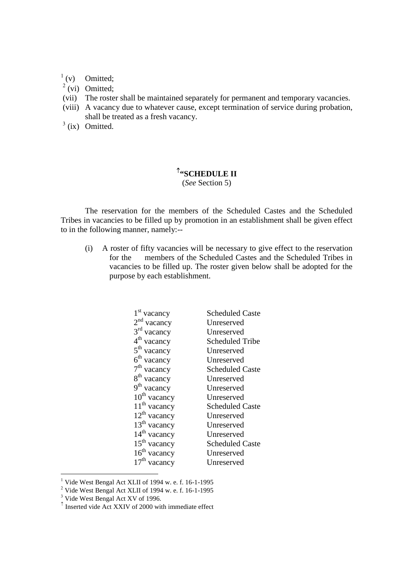$\int_0^1$  (v) Omitted;

- $^{2}$  (vi) Omitted;
- (vii) The roster shall be maintained separately for permanent and temporary vacancies.
- (viii) A vacancy due to whatever cause, except termination of service during probation, shall be treated as a fresh vacancy.
- $3$  (ix) Omitted.

## <sup>1</sup>"SCHEDULE II

(*See* Section 5)

The reservation for the members of the Scheduled Castes and the Scheduled Tribes in vacancies to be filled up by promotion in an establishment shall be given effect to in the following manner, namely:--

(i) A roster of fifty vacancies will be necessary to give effect to the reservation for the members of the Scheduled Castes and the Scheduled Tribes in vacancies to be filled up. The roster given below shall be adopted for the purpose by each establishment.

| $1st$ vacancy            | <b>Scheduled Caste</b> |
|--------------------------|------------------------|
| $2nd$ vacancy            | Unreserved             |
| 3 <sup>rd</sup> vacancy  | Unreserved             |
| 4 <sup>th</sup> vacancy  | Scheduled Tribe        |
| $5th$ vacancy            | Unreserved             |
| $6th$ vacancy            | Unreserved             |
| $7th$ vacancy            | <b>Scheduled Caste</b> |
| 8 <sup>th</sup> vacancy  | Unreserved             |
| 9 <sup>th</sup> vacancy  | Unreserved             |
| 10 <sup>th</sup> vacancy | Unreserved             |
| 11 <sup>th</sup> vacancy | <b>Scheduled Caste</b> |
| $12^{th}$ vacancy        | Unreserved             |
| 13 <sup>th</sup> vacancy | Unreserved             |
| 14 <sup>th</sup> vacancy | Unreserved             |
| $15th$ vacancy           | <b>Scheduled Caste</b> |
| $16th$ vacancy           | Unreserved             |
| vacancy                  | Unreserved             |

<sup>&</sup>lt;sup>1</sup> Vide West Bengal Act XLII of 1994 w. e. f. 16-1-1995

 $\frac{2}{10}$  Vide West Bengal Act XLII of 1994 w. e. f. 16-1-1995

 $\frac{3}{100}$  Vide West Bengal Act XV of 1996.

Inserted vide Act XXIV of 2000 with immediate effect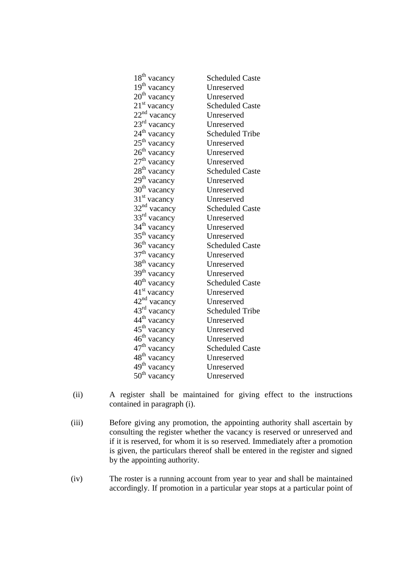| 18 <sup>th</sup> vacancy | <b>Scheduled Caste</b> |
|--------------------------|------------------------|
| $19th$ vacancy           | Unreserved             |
| $20th$ vacancy           | Unreserved             |
| $21st$ vacancy           | <b>Scheduled Caste</b> |
| $22nd$ vacancy           | Unreserved             |
| $23^{\text{rd}}$ vacancy | Unreserved             |
| 24 <sup>th</sup> vacancy | <b>Scheduled Tribe</b> |
| $25th$ vacancy           | Unreserved             |
| 26 <sup>th</sup> vacancy | Unreserved             |
| $27th$ vacancy           | Unreserved             |
| $28^{\text{th}}$ vacancy | <b>Scheduled Caste</b> |
| $29^{\text{th}}$ vacancy | Unreserved             |
| 30 <sup>th</sup> vacancy | Unreserved             |
| $31st$ vacancy           | Unreserved             |
| $32nd$ vacancy           | <b>Scheduled Caste</b> |
| $33rd$ vacancy           | Unreserved             |
| $34th$ vacancy           | Unreserved             |
| 35 <sup>th</sup> vacancy | Unreserved             |
| $36th$ vacancy           | <b>Scheduled Caste</b> |
| $37th$ vacancy           | Unreserved             |
| 38 <sup>th</sup> vacancy | Unreserved             |
| $39th$ vacancy           | Unreserved             |
| 40 <sup>th</sup> vacancy | <b>Scheduled Caste</b> |
| 41 <sup>st</sup> vacancy | Unreserved             |
| $42nd$ vacancy           | Unreserved             |
| 43 <sup>rd</sup> vacancy | <b>Scheduled Tribe</b> |
| 44 <sup>th</sup> vacancy | Unreserved             |
| $45^{\text{th}}$ vacancy | Unreserved             |
| $46^{\text{th}}$ vacancy | Unreserved             |
| 47 <sup>th</sup> vacancy | <b>Scheduled Caste</b> |
| 48 <sup>th</sup> vacancy | Unreserved             |
| 49 <sup>th</sup> vacancy | Unreserved             |
| $50th$ vacancy           | Unreserved             |
|                          |                        |

- (ii) A register shall be maintained for giving effect to the instructions contained in paragraph (i).
- (iii) Before giving any promotion, the appointing authority shall ascertain by consulting the register whether the vacancy is reserved or unreserved and if it is reserved, for whom it is so reserved. Immediately after a promotion is given, the particulars thereof shall be entered in the register and signed by the appointing authority.
- (iv) The roster is a running account from year to year and shall be maintained accordingly. If promotion in a particular year stops at a particular point of